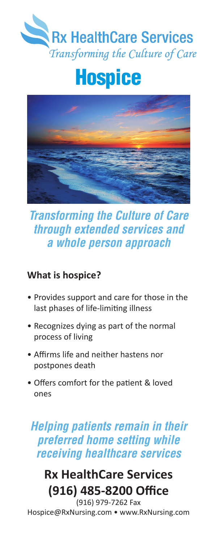

# **Hospice**



# *Transforming the Culture of Care through extended services and a whole person approach*

#### **What is hospice?**

- Provides support and care for those in the last phases of life-limiting illness
- Recognizes dying as part of the normal process of living
- Affirms life and neither hastens nor postpones death
- Offers comfort for the patient & loved ones

# *Helping patients remain in their preferred home setting while receiving healthcare services*

# **Rx HealthCare Services (916) 485-8200 Office**

(916) 979-7262 Fax Hospice@RxNursing.com • www.RxNursing.com